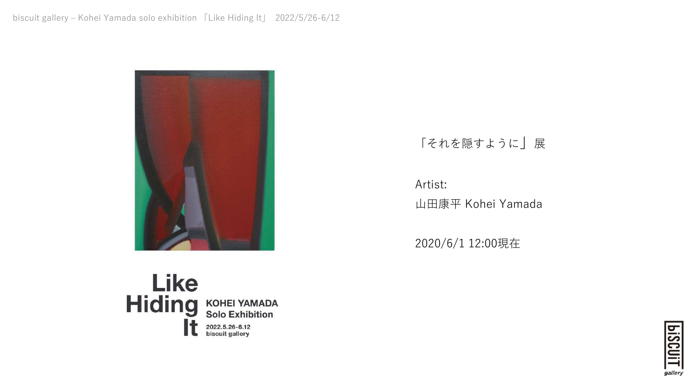

## 「それを隠すように」展

Artist: ⼭⽥康平 Kohei Yamada

2020/6/1 12:00現在



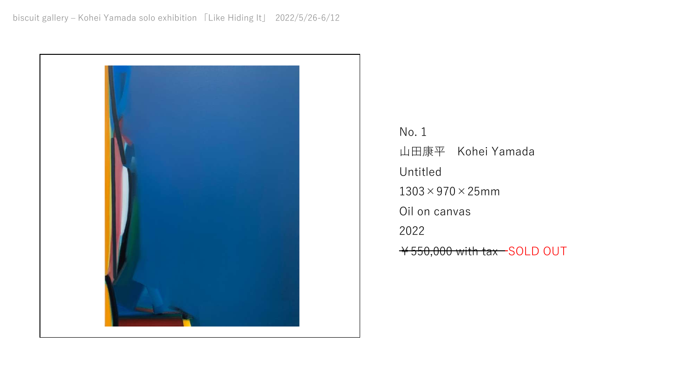

No. 1 ⼭⽥康平 Kohei Yamada Untitled  $1303 \times 970 \times 25$ mm Oil on canvas 2022 ¥550,000 with tax SOLD OUT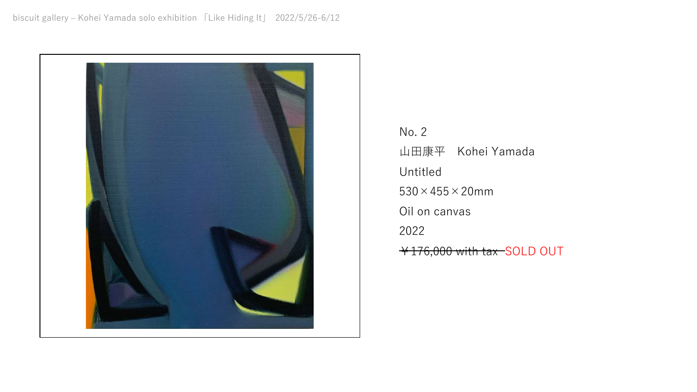

No. 2 ⼭⽥康平 Kohei Yamada Untitled  $530 \times 455 \times 20$ mm Oil on canvas 2022 ¥176,000 with tax SOLD OUT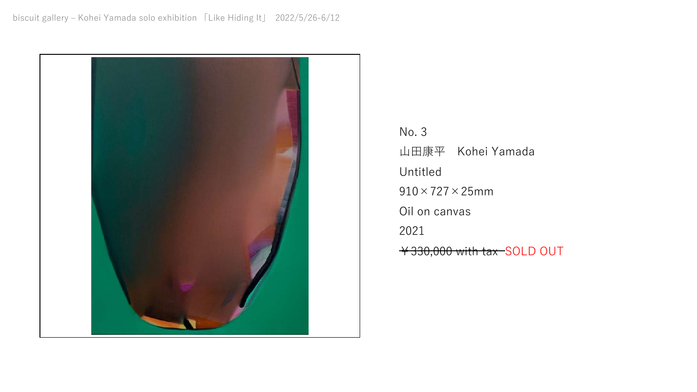

No. 3 ⼭⽥康平 Kohei Yamada Untitled  $910\times727\times25$ mm Oil on canvas 2021 ¥330,000 with tax SOLD OUT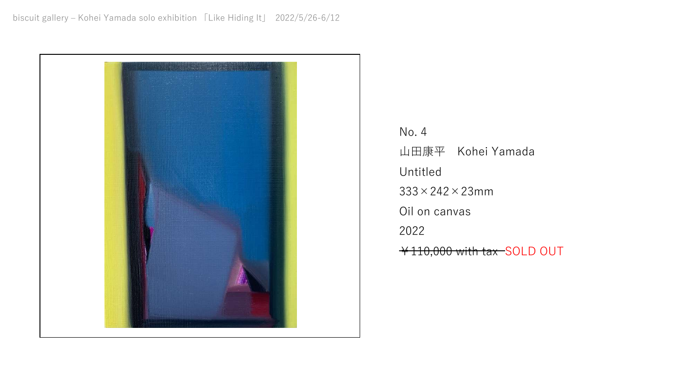

No. 4 ⼭⽥康平 Kohei Yamada Untitled  $333 \times 242 \times 23$ mm Oil on canvas 2022 ¥110,000 with tax SOLD OUT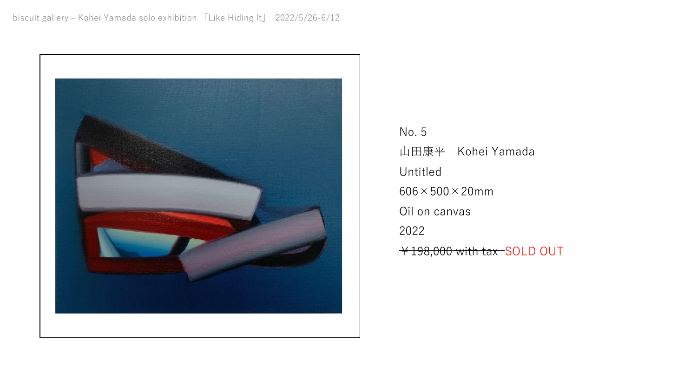

No. 5 ⼭⽥康平 Kohei Yamada Untitled  $606 \times 500 \times 20$ mm Oil on canvas 2022 ¥198,000 with tax SOLD OUT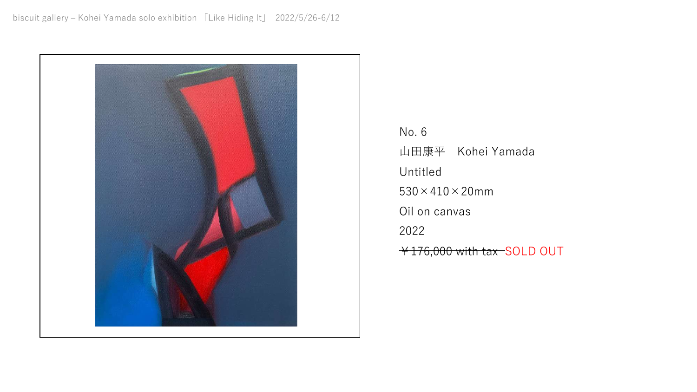

No. 6 ⼭⽥康平 Kohei Yamada Untitled  $530 \times 410 \times 20$ mm Oil on canvas 2022 ¥176,000 with tax SOLD OUT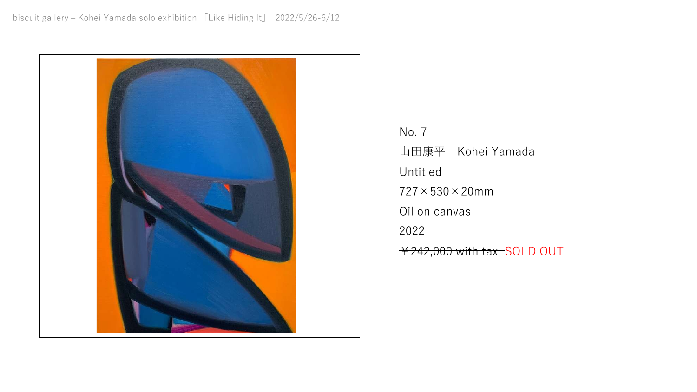

No. 7 ⼭⽥康平 Kohei Yamada Untitled  $727 \times 530 \times 20$ mm Oil on canvas 2022 ¥242,000 with tax SOLD OUT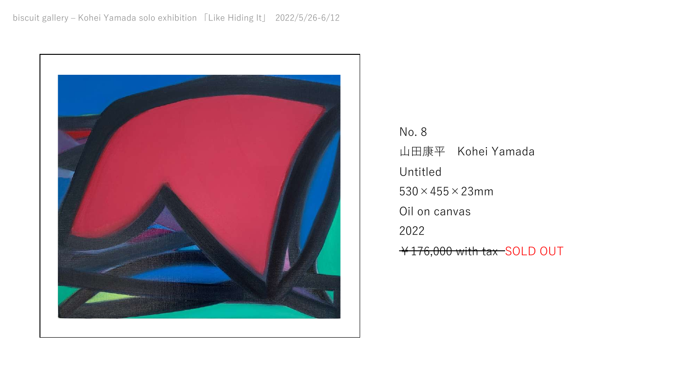

No. 8 ⼭⽥康平 Kohei Yamada Untitled  $530 \times 455 \times 23$ mm Oil on canvas 2022 ¥176,000 with tax SOLD OUT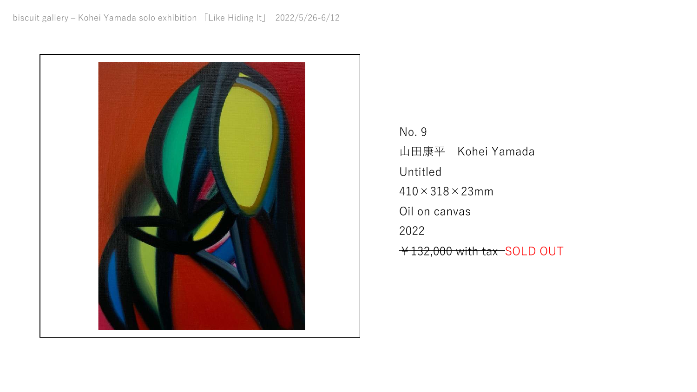

No. 9 ⼭⽥康平 Kohei Yamada Untitled  $410 \times 318 \times 23$ mm Oil on canvas 2022 ¥132,000 with tax SOLD OUT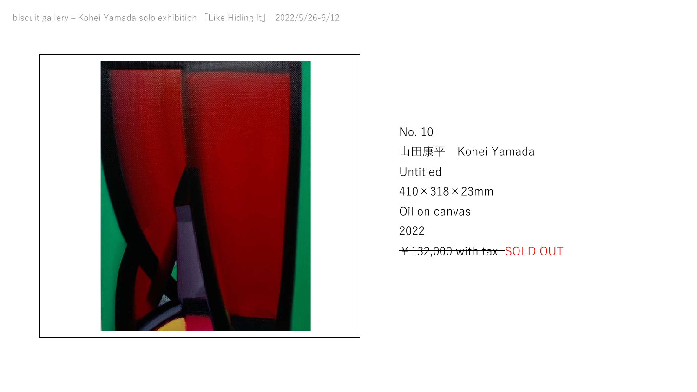

No. 10 ⼭⽥康平 Kohei Yamada Untitled  $410 \times 318 \times 23$ mm Oil on canvas 2022 ¥132,000 with tax SOLD OUT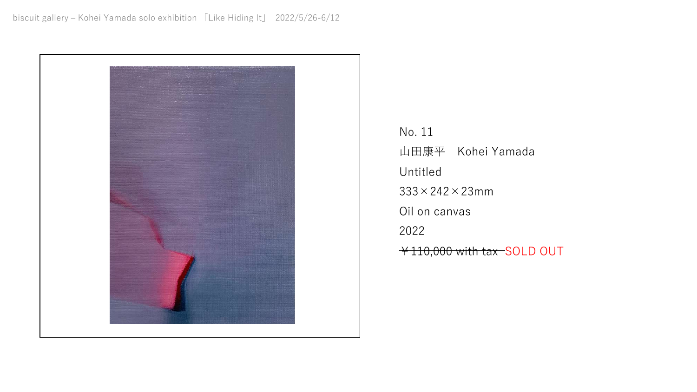

No. 11 ⼭⽥康平 Kohei Yamada Untitled  $333 \times 242 \times 23$ mm Oil on canvas 2022 ¥110,000 with tax SOLD OUT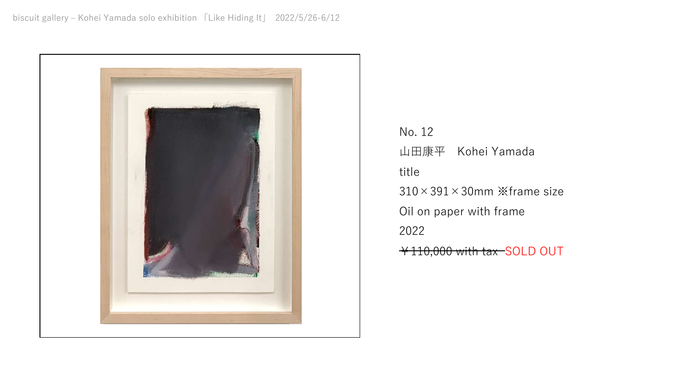

No. 12 ⼭⽥康平 Kohei Yamada title 310×391×30mm ※frame size Oil on paper with frame 2022 ¥110,000 with tax SOLD OUT